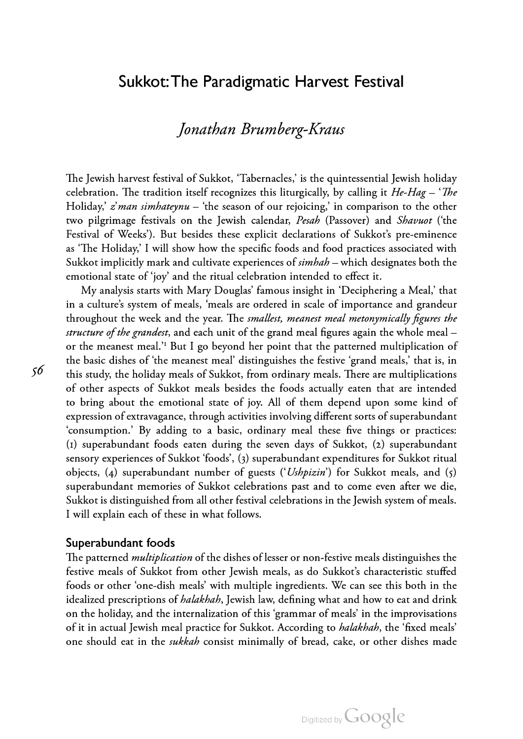# Jonathan Brumberg-Kraus

The Jewish harvest festival of Sukkot, 'Tabernacles,' is the quintessential Jewish holiday celebration. The tradition itself recognizes this liturgically, by calling it  $He-Hag - 'The$ Holiday,  $\dot{z}$  man simhateynu – 'the season of our rejoicing,' in comparison to the other two pilgrimage festivals on the Jewish calendar, *Pesah* (Passover) and *Shavuot* ('the Festival of Weeks'). But besides these explicit declarations of Sukkot's pre-eminence as 'The Holiday,' <sup>I</sup> will show how the specific foods and food practices associated with Sukkot implicitly mark and cultivate experiences of simhah – which designates both the emotional state of 'joy' and the ritual celebration intended to effect it.

My analysis starts with Mary Douglas' famous insight in 'Deciphering <sup>a</sup> Meal,' that in a culture's system of meals, 'meals are ordered in scale of importance and grandeur throughout the week and the year. The *smallest, meanest meal metonymically figures the* structure of the grandest, and each unit of the grand meal figures again the whole meal  $$ or the meanest meal.'1 But <sup>I</sup> go beyond her point that the patterned multiplication of the basic dishes of 'the meanest meal' distinguishes the festive 'grand meals,' that is, in this study, the holiday meals of Sukkot, from ordinary meals. There are multiplications of other aspects of Sukkot meals besides the foods actually eaten that are intended to bring about the emotional state of joy. All of them depend upon some kind of expression of extravagance, through activities involving different sorts of superabundant 'consumption.' By adding to a basic, ordinary meal these five things or practices: (1) superabundant foods eaten during the seven days of Sukkot, (2) superabundant sensory experiences of Sukkot 'foods', (3) superabundant expenditures for Sukkot ritual objects, (4) superabundant number of guests ('Ushpizin') for Sukkot meals, and (5) superabundant memories of Sukkot celebrations past and to come even after we die, Sukkot is distinguished from all other festival celebrations in the Jewish system of meals. <sup>I</sup> will explain each of these in what follows.

### Superabundant foods

The patterned *multiplication* of the dishes of lesser or non-festive meals distinguishes the festive meals of Sukkot from other Jewish meals, as do Sukkot's characteristic stuffed foods or other 'one-dish meals' with multiple ingredients. We can see this both in the idealized prescriptions of *halakhah*, Jewish law, defining what and how to eat and drink on the holiday, and the internalization of this 'grammar of meals' in the improvisations of it in actual Jewish meal practice for Sukkot. According to *halakhah*, the 'fixed meals' one should eat in the *sukkah* consist minimally of bread, cake, or other dishes made

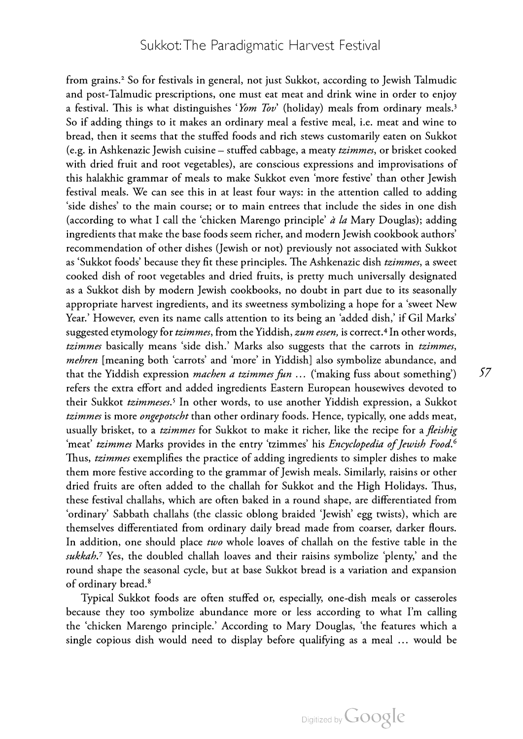from grains.2 So for festivals in general, not just Sukkot, according to Jewish Talmudic and post-Talmudic prescriptions, one must eat meat and drink wine in order to enjoy a festival. This is what distinguishes 'Yom Tov' (holiday) meals from ordinary meals.<sup>3</sup> So if adding things to it makes an ordinary meal a festive meal, i.e. meat and wine to bread, then it seems that the stuffed foods and rich stews customarily eaten on Sukkot (e.g. in Ashkenazic Jewish cuisine – stuffed cabbage, a meaty tzimmes, or brisket cooked with dried fruit and root vegetables), are conscious expressions and improvisations of this halakhic grammar of meals to make Sukkot even 'more festive' than other Jewish festival meals. We can see this in at least four ways: in the attention called to adding 'side dishes' to the main course; or to main entrees that include the sides in one dish (according to what I call the 'chicken Marengo principle'  $\dot{a}$  la Mary Douglas); adding ingredients that make the base foods seem richer, and modern Jewish cookbook authors' recommendation of other dishes (Jewish or not) previously not associated with Sukkot as 'Sukkot foods' because they fit these principles. The Ashkenazic dish tzimmes, a sweet cooked dish of root vegetables and dried fruits, is pretty much universally designated as <sup>a</sup> Sukkot dish by modern Jewish cookbooks, no doubt in part due to its seasonally appropriate harvest ingredients, and its sweetness symbolizing <sup>a</sup> hope for <sup>a</sup> 'sweet New Year.' However, even its name calls attention to its being an 'added dish,' if Gil Marks' suggested etymology for tzimmes, from the Yiddish, zum essen, is correct.<sup>4</sup> In other words, tzimmes basically means 'side dish.' Marks also suggests that the carrots in tzimmes, mehren [meaning both 'carrots' and 'more' in Yiddish] also symbolize abundance, and that the Yiddish expression *machen a tzimmes fun* ... ('making fuss about something') refers the extra effort and added ingredients Eastern European housewives devoted to their Sukkot tzimmeses.<sup>5</sup> In other words, to use another Yiddish expression, a Sukkot tzimmes is more ongepotscht than other ordinary foods. Hence, typically, one adds meat, usually brisket, to a *tzimmes* for Sukkot to make it richer, like the recipe for a *fleishig* 'meat' tzimmes Marks provides in the entry 'tzimmes' his *Encyclopedia of Jewish Food.*<sup>6</sup> Thus, tzimmes exemplifies the practice of adding ingredients to simpler dishes to make them more festive according to the grammar of Jewish meals. Similarly, raisins or other dried fruits are often added to the challah for Sukkot and the High Holidays. Thus, these festival challahs, which are often baked in a round shape, are differentiated from 'ordinary' Sabbath challahs (the classic oblong braided 'Jewish' egg twists), which are themselves differentiated from ordinary daily bread made from coarser, darker flours. In addition, one should place two whole loaves of challah on the festive table in the sukkah.<sup>7</sup> Yes, the doubled challah loaves and their raisins symbolize 'plenty,' and the round shape the seasonal cycle, but at base Sukkot bread is a variation and expansion of ordinary bread.<sup>8</sup>

Typical Sukkot foods are often stuffed or, especially, one-dish meals or casseroles because they too symbolize abundance more or less according to what I'm calling the 'chicken Marengo principle.' According to Mary Douglas, 'the features which a single copious dish would need to display before qualifying as <sup>a</sup> meal … would be

57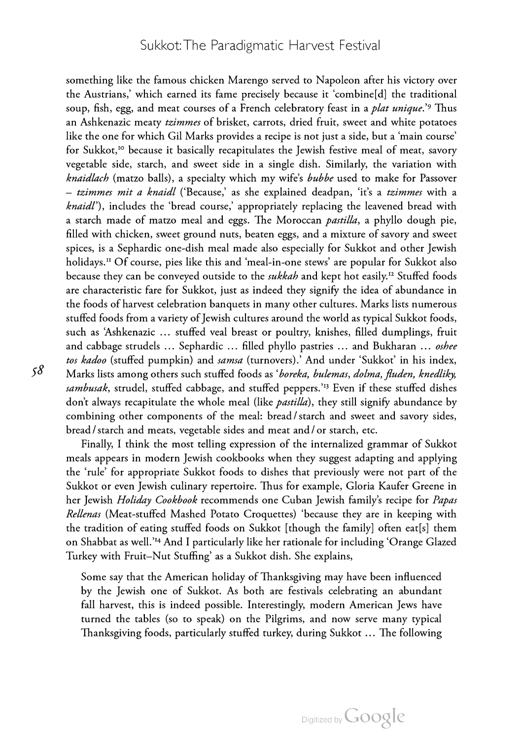something like the famous chicken Marengo served to Napoleon after his victory over the Austrians,' which earned its fame precisely because it 'combine[d] the traditional soup, fish, egg, and meat courses of a French celebratory feast in a *plat unique*.'<sup>9</sup> Thus an Ashkenazic meaty tzimmes of brisket, carrots, dried fruit, sweet and white potatoes like the one for which Gil Marks provides a recipe is not just a side, but a 'main course' for Sukkot,10 because it basically recapitulates the Jewish festive meal of meat, savory vegetable side, starch, and sweet side in a single dish. Similarly, the variation with knaidlach (matzo balls), a specialty which my wife's bubbe used to make for Passover – tzimmes mit a knaidl ('Because,' as she explained deadpan, 'it's a tzimmes with a knaidl'), includes the 'bread course,' appropriately replacing the leavened bread with a starch made of matzo meal and eggs. The Moroccan *pastilla*, a phyllo dough pie, filled with chicken, sweet ground nuts, beaten eggs, and a mixture of savory and sweet spices, is <sup>a</sup> Sephardic one-dish meal made also especially for Sukkot and other Jewish holidays.11 Of course, pies like this and 'meal-in-one stews' are popular for Sukkot also because they can be conveyed outside to the *sukkah* and kept hot easily.<sup>12</sup> Stuffed foods are characteristic fare for Sukkot, just as indeed they signify the idea of abundance in the foods of harvest celebration banquets in many other cultures. Marks lists numerous stuffed foods from a variety of Jewish cultures around the world as typical Sukkot foods, such as 'Ashkenazic … stuffed veal breast or poultry, knishes, filled dumplings, fruit and cabbage strudels ... Sephardic ... filled phyllo pastries ... and Bukharan ... oshee tos kadoo (stuffed pumpkin) and samsa (turnovers).' And under 'Sukkot' in his index, Marks lists among others such stuffed foods as 'boreka, bulemas, dolma, fluden, knedliky, sambusak, strudel, stuffed cabbage, and stuffed peppers.<sup>13</sup> Even if these stuffed dishes don't always recapitulate the whole meal (like *pastilla*), they still signify abundance by combining other components of the meal: bread/starch and sweet and savory sides, bread/starch and meats, vegetable sides and meat and/or starch, etc.

Finally, <sup>I</sup> think the most telling expression of the internalized grammar of Sukkot meals appears in modern Jewish cookbooks when they suggest adapting and applying the 'rule' for appropriate Sukkot foods to dishes that previously were not part of the Sukkot or even Jewish culinary repertoire. Thus for example, Gloria Kaufer Greene in her Jewish Holiday Cookbook recommends one Cuban Jewish family's recipe for Papas Rellenas (Meat-stuffed Mashed Potato Croquettes) 'because they are in keeping with the tradition of eating stuffed foods on Sukkot [though the family] often eat[s] them on Shabbat as well.'14 And <sup>I</sup> particularly like her rationale for including 'Orange Glazed Turkey with Fruit–Nut Stuffing' as a Sukkot dish. She explains,

Some say that the American holiday of Thanksgiving may have been influenced by the Jewish one of Sukkot. As both are festivals celebrating an abundant fall harvest, this is indeed possible. Interestingly, modern American Jews have turned the tables (so to speak) on the Pilgrims, and now serve many typical Thanksgiving foods, particularly stuffed turkey, during Sukkot … The following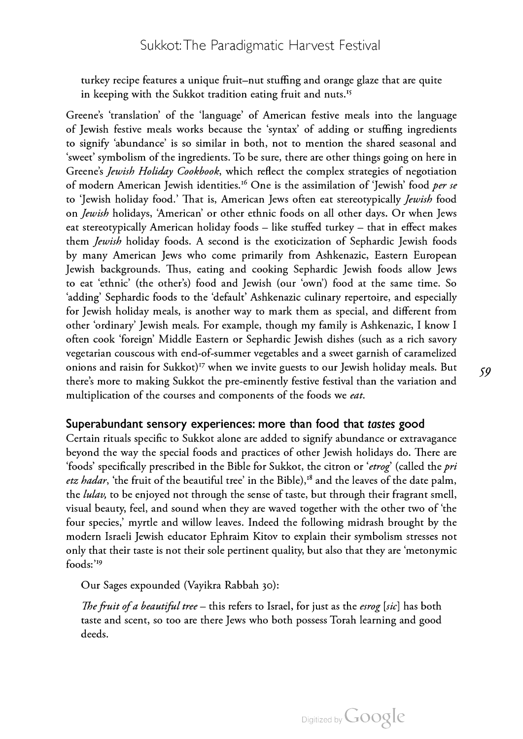turkey recipe features a unique fruit–nut stuffing and orange glaze that are quite in keeping with the Sukkot tradition eating fruit and nuts.<sup>15</sup>

Greene's 'translation' of the 'language' of American festive meals into the language of Jewish festive meals works because the 'syntax' of adding or stuffing ingredients to signify 'abundance' is so similar in both, not to mention the shared seasonal and 'sweet' symbolism of the ingredients. To be sure, there are other things going on here in Greene's Jewish Holiday Cookbook, which reflect the complex strategies of negotiation of modern American Jewish identities.<sup>16</sup> One is the assimilation of 'Jewish' food *per se* to 'Jewish holiday food.' That is, American Jews often eat stereotypically *Jewish* food on Jewish holidays, 'American' or other ethnic foods on all other days. Or when Jews eat stereotypically American holiday foods – like stuffed turkey – that in effect makes them Jewish holiday foods. A second is the exoticization of Sephardic Jewish foods by many American Jews who come primarily from Ashkenazic, Eastern European Jewish backgrounds. Thus, eating and cooking Sephardic Jewish foods allow Jews to eat 'ethnic' (the other's) food and Jewish (our 'own') food at the same time. So 'adding' Sephardic foods to the 'default' Ashkenazic culinary repertoire, and especially for Jewish holiday meals, is another way to mark them as special, and different from other 'ordinary' Jewish meals. For example, though my family is Ashkenazic, <sup>I</sup> know <sup>I</sup> often cook 'foreign' Middle Eastern or Sephardic Jewish dishes (such as a rich savory vegetarian couscous with end-of-summer vegetables and a sweet garnish of caramelized onions and raisin for Sukkot)<sup>17</sup> when we invite guests to our Jewish holiday meals. But there's more to making Sukkot the pre-eminently festive festival than the variation and multiplication of the courses and components of the foods we eat.

### Superabundant sensory experiences: more than food that tastes good

Certain rituals specific to Sukkot alone are added to signify abundance or extravagance beyond the way the special foods and practices of other Jewish holidays do. There are 'foods' specifically prescribed in the Bible for Sukkot, the citron or 'etrog' (called the pri etz hadar, 'the fruit of the beautiful tree' in the Bible), $18$  and the leaves of the date palm, the *lulav*, to be enjoyed not through the sense of taste, but through their fragrant smell, visual beauty, feel, and sound when they are waved together with the other two of 'the four species,' myrtle and willow leaves. Indeed the following midrash brought by the modern Israeli Jewish educator Ephraim Kitov to explain their symbolism stresses not only that their taste is not their sole pertinent quality, but also that they are 'metonymic foods:'19

Our Sages expounded (Vayikra Rabbah 30):

The fruit of a beautiful tree – this refers to Israel, for just as the esrog [sic] has both taste and scent, so too are there Jews who both possess Torah learning and good deeds.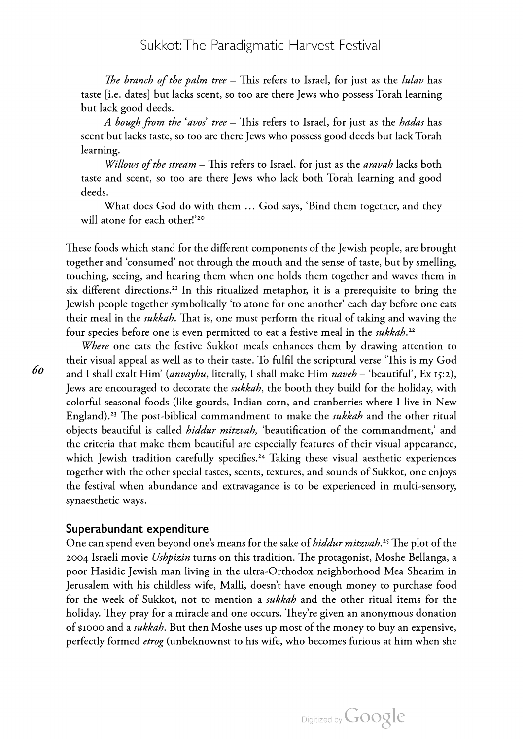The branch of the palm tree – This refers to Israel, for just as the *lulav* has taste [i.e. dates] but lacks scent, so too are there Jews who possess Torah learning but lack good deeds.

A bough from the 'avos' tree – This refers to Israel, for just as the hadas has scent but lacks taste, so too are there Jews who possess good deeds but lack Torah learning.

Willows of the stream - This refers to Israel, for just as the aravah lacks both taste and scent, so too are there Jews who lack both Torah learning and good deeds.

What does God do with them … God says, 'Bind them together, and they will atone for each other!'<sup>20</sup>

These foods which stand for the different components of the Jewish people, are brought together and 'consumed' not through the mouth and the sense of taste, but by smelling, touching, seeing, and hearing them when one holds them together and waves them in six different directions.<sup>21</sup> In this ritualized metaphor, it is a prerequisite to bring the Jewish people together symbolically 'to atone for one another' each day before one eats their meal in the *sukkah*. That is, one must perform the ritual of taking and waving the four species before one is even permitted to eat a festive meal in the sukkah.<sup>22</sup>

Where one eats the festive Sukkot meals enhances them by drawing attention to their visual appeal as well as to their taste. To fulfil the scriptural verse 'This is my God and I shall exalt Him' (anvayhu, literally, I shall make Him naveh – 'beautiful', Ex 15:2), Jews are encouraged to decorate the sukkah, the booth they build for the holiday, with colorful seasonal foods (like gourds, Indian corn, and cranberries where <sup>I</sup> live in New England).<sup>23</sup> The post-biblical commandment to make the *sukkah* and the other ritual objects beautiful is called *hiddur mitzvah*, 'beautification of the commandment,' and the criteria that make them beautiful are especially features of their visual appearance, which Jewish tradition carefully specifies.<sup>24</sup> Taking these visual aesthetic experiences together with the other special tastes, scents, textures, and sounds of Sukkot, one enjoys the festival when abundance and extravagance is to be experienced in multi-sensory, synaesthetic ways.

**Superabundant expenditure**<br>One can spend even beyond one's means for the sake of *hiddur mitzvah*.<sup>25</sup> The plot of the 2004 Israeli movie Ushpizin turns on this tradition. The protagonist, Moshe Bellanga, a poor Hasidic Jewish man living in the ultra-Orthodox neighborhood Mea Shearim in Jerusalem with his childless wife, Malli, doesn't have enough money to purchase food for the week of Sukkot, not to mention a *sukkah* and the other ritual items for the holiday. They pray for a miracle and one occurs. They're given an anonymous donation of \$1000 and a *sukkah*. But then Moshe uses up most of the money to buy an expensive, perfectly formed *etrog* (unbeknownst to his wife, who becomes furious at him when she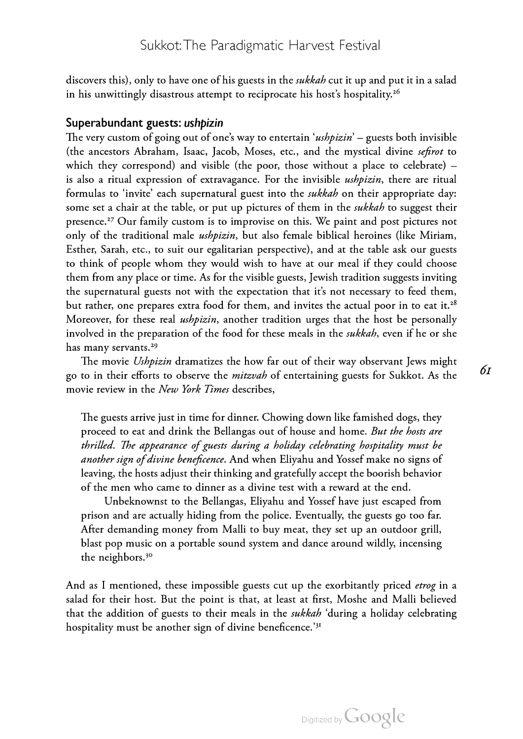discovers this), only to have one of his guests in the *sukkah* cut it up and put it in a salad in his unwittingly disastrous attempt to reciprocate his host's hospitality.<sup>26</sup>

### Superabundant guests: ushpizin

The very custom of going out of one's way to entertain 'ushpizin' – guests both invisible (the ancestors Abraham, Isaac, Jacob, Moses, etc., and the mystical divine sefirot to which they correspond) and visible (the poor, those without a place to celebrate) – is also a ritual expression of extravagance. For the invisible *ushpizin*, there are ritual formulas to 'invite' each supernatural guest into the *sukkah* on their appropriate day: some set a chair at the table, or put up pictures of them in the *sukkah* to suggest their presence.27 Our family custom is to improvise on this. We paint and post pictures not only of the traditional male *ushpizin*, but also female biblical heroines (like Miriam, Esther, Sarah, etc., to suit our egalitarian perspective), and at the table ask our guests to think of people whom they would wish to have at our meal if they could choose them from any place or time. As for the visible guests, Jewish tradition suggests inviting the supernatural guests not with the expectation that it's not necessary to feed them, but rather, one prepares extra food for them, and invites the actual poor in to eat it.<sup>28</sup> Moreover, for these real *ushpizin*, another tradition urges that the host be personally involved in the preparation of the food for these meals in the *sukkah*, even if he or she has many servants.<sup>29</sup>

The movie Ushpizin dramatizes the how far out of their way observant Jews might go to in their efforts to observe the *mitzvah* of entertaining guests for Sukkot. As the movie review in the New York Times describes,

The guests arrive just in time for dinner. Chowing down like famished dogs, they proceed to eat and drink the Bellangas out of house and home. But the hosts are thrilled. The appearance of guests during a holiday celebrating hospitality must be another sign of divine beneficence. And when Eliyahu and Yossef make no signs of leaving, the hosts adjust their thinking and gratefully accept the boorish behavior of the men who came to dinner as a divine test with a reward at the end.

Unbeknownst to the Bellangas, Eliyahu and Yossef have just escaped from prison and are actually hiding from the police. Eventually, the guests go too far. After demanding money from Malli to buy meat, they set up an outdoor grill, blast pop music on <sup>a</sup> portable sound system and dance around wildly, incensing the neighbors.<sup>30</sup>

And as I mentioned, these impossible guests cut up the exorbitantly priced *etrog* in a salad for their host. But the point is that, at least at first, Moshe and Malli believed that the addition of guests to their meals in the sukkah 'during a holiday celebrating hospitality must be another sign of divine beneficence.'31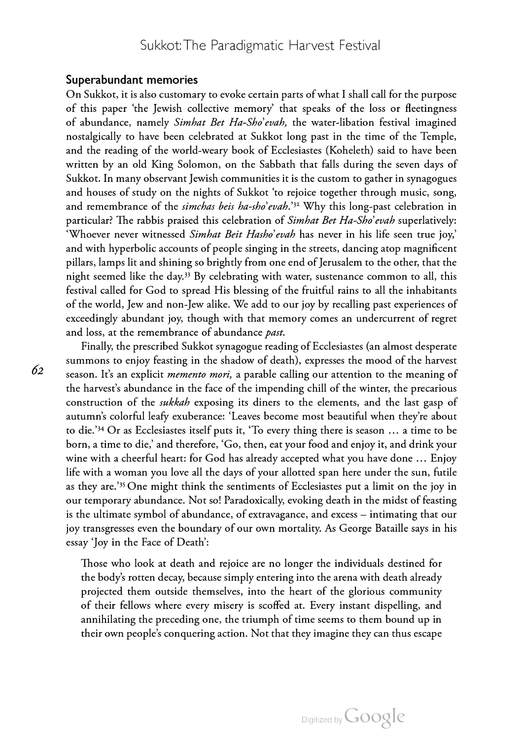Superabundant memories<br>On Sukkot, it is also customary to evoke certain parts of what I shall call for the purpose of this paper 'the Jewish collective memory' that speaks of the loss or fleetingness of abundance, namely *Simhat Bet Ha-Sho'evah*, the water-libation festival imagined nostalgically to have been celebrated at Sukkot long past in the time of the Temple, and the reading of the world-weary book of Ecclesiastes (Koheleth) said to have been written by an old King Solomon, on the Sabbath that falls during the seven days of Sukkot. In many observant Jewish communities it is the custom to gather in synagogues and houses of study on the nights of Sukkot 'to rejoice together through music, song, and remembrance of the *simchas beis ha-sho'evah*.'<sup>32</sup> Why this long-past celebration in particular? The rabbis praised this celebration of *Simhat Bet Ha-Sho'evah* superlatively: 'Whoever never witnessed Simhat Beit Hasho'evah has never in his life seen true joy,' and with hyperbolic accounts of people singing in the streets, dancing atop magnificent pillars, lamps lit and shining so brightly from one end of Jerusalem to the other, that the night seemed like the day.<sup>33</sup> By celebrating with water, sustenance common to all, this festival called for God to spread His blessing of the fruitful rains to all the inhabitants of the world, Jew and non-Jew alike. We add to our joy by recalling past experiences of exceedingly abundant joy, though with that memory comes an undercurrent of regret and loss, at the remembrance of abundance past.

Finally, the prescribed Sukkot synagogue reading of Ecclesiastes (an almost desperate summons to enjoy feasting in the shadow of death), expresses the mood of the harvest season. It's an explicit *memento mori*, a parable calling our attention to the meaning of the harvest's abundance in the face of the impending chill of the winter, the precarious construction of the *sukkah* exposing its diners to the elements, and the last gasp of autumn's colorful leafy exuberance: 'Leaves become most beautiful when they're about to die.'34 Or as Ecclesiastes itself puts it, 'To every thing there is season … <sup>a</sup> time to be born, a time to die,' and therefore, 'Go, then, eat your food and enjoy it, and drink your wine with a cheerful heart: for God has already accepted what you have done ... Enjoy life with <sup>a</sup> woman you love all the days of your allotted span here under the sun, futile as they are.'35 One might think the sentiments of Ecclesiastes put <sup>a</sup> limit on the joy in our temporary abundance. Not so! Paradoxically, evoking death in the midst of feasting is the ultimate symbol of abundance, of extravagance, and excess – intimating that our joy transgresses even the boundary of our own mortality. As George Bataille says in his essay 'Joy in the Face of Death':

Those who look at death and rejoice are no longer the individuals destined for the body's rotten decay, because simply entering into the arena with death already projected them outside themselves, into the heart of the glorious community of their fellows where every misery is scoffed at. Every instant dispelling, and annihilating the preceding one, the triumph of time seems to them bound up in their own people's conquering action. Not that they imagine they can thus escape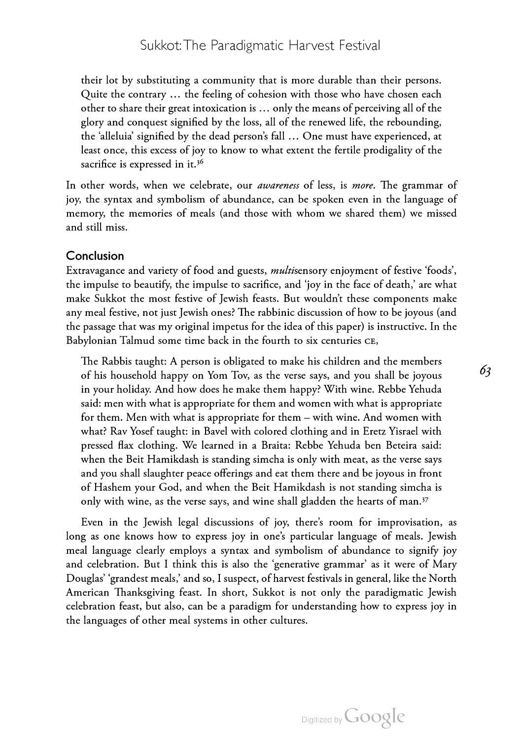their lot by substituting <sup>a</sup> community that is more durable than their persons. Quite the contrary … the feeling of cohesion with those who have chosen each other to share their great intoxication is …only the means of perceiving all of the glory and conquest signified by the loss, all of the renewed life, the rebounding, the 'alleluia' signified by the dead person's fall … One must have experienced, at least once, this excess of joy to know to what extent the fertile prodigality of the sacrifice is expressed in it.<sup>36</sup>

In other words, when we celebrate, our *awareness* of less, is *more*. The grammar of joy, the syntax and symbolism of abundance, can be spoken even in the language of memory, the memories of meals (and those with whom we shared them) we missed and still miss.

### Conclusion

Extravagance and variety of food and guests, multisensory enjoyment of festive 'foods', the impulse to beautify, the impulse to sacrifice, and 'joy in the face of death,' are what make Sukkot the most festive of Jewish feasts. But wouldn't these components make any meal festive, not just Jewish ones? The rabbinic discussion of how to be joyous (and the passage that was my original impetus for the idea of this paper) is instructive. In the Babylonian Talmud some time back in the fourth to six centuries ce,

The Rabbis taught: A person is obligated to make his children and the members of his household happy on Yom Tov, as the verse says, and you shall be joyous in your holiday. And how does he make them happy? With wine. Rebbe Yehuda said: men with what is appropriate for them and women with what is appropriate for them. Men with what is appropriate for them – with wine. And women with what? Rav Yosef taught: in Bavel with colored clothing and in Eretz Yisrael with pressed flax clothing. We learned in <sup>a</sup> Braita: Rebbe Yehuda ben Beteira said: when the Beit Hamikdash is standing simcha is only with meat, as the verse says and you shall slaughter peace offerings and eat them there and be joyous in front of Hashem your God, and when the Beit Hamikdash is not standing simcha is only with wine, as the verse says, and wine shall gladden the hearts of man.<sup>37</sup>

Even in the Jewish legal discussions of joy, there's room for improvisation, as long as one knows how to express joy in one's particular language of meals. Jewish meal language clearly employs a syntax and symbolism of abundance to signify joy and celebration. But <sup>I</sup> think this is also the 'generative grammar' as it were of Mary Douglas' 'grandest meals,' and so, <sup>I</sup> suspect, of harvest festivals in general, like the North American Thanksgiving feast. In short, Sukkot is not only the paradigmatic Jewish celebration feast, but also, can be <sup>a</sup> paradigm for understanding how to express joy in the languages of other meal systems in other cultures.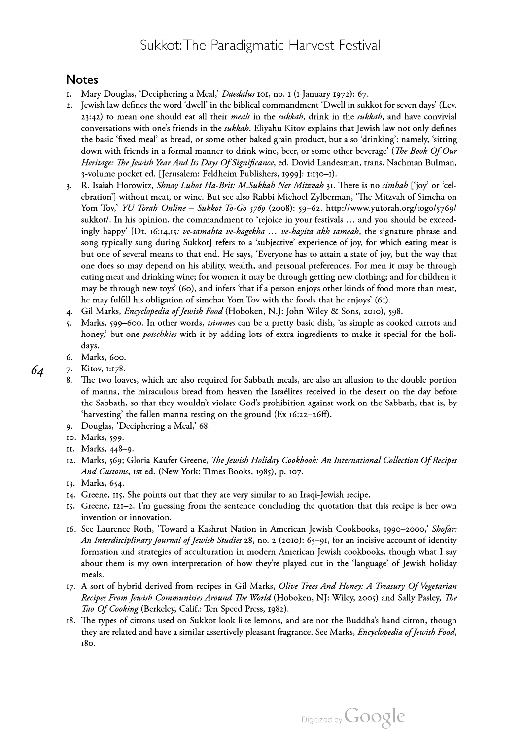### Notes

- 1. Mary Douglas, 'Deciphering a Meal,' Daedalus 101, no. 1 (1 January 1972): 67.
- 2. Jewish law defines the word 'dwell' in the biblical commandment 'Dwell in sukkot for seven days' (Lev. 23:42) to mean one should eat all their meals in the sukkah, drink in the sukkah, and have convivial conversations with one's friends in the *sukkah*. Eliyahu Kitov explains that Jewish law not only defines the basic 'fixed meal' as bread, or some other baked grain product, but also 'drinking': namely, 'sitting down with friends in a formal manner to drink wine, beer, or some other beverage' (*The Book Of Our* Heritage: The Jewish Year And Its Days Of Significance, ed. Dovid Landesman, trans. Nachman Bulman, 3-volume pocket ed. [Jerusalem: Feldheim Publishers, 1999]: 1:130–1).
- 3. R. Isaiah Horowitz, Shnay Luhot Ha-Brit: M.Sukkah Ner Mitzvah 31. There is no simhah ['joy' or 'celebration'] without meat, or wine. But see also Rabbi Michoel Zylberman, 'The Mitzvah of Simcha on Yom Tov,' YU Torah Online – Sukkot To-Go <sup>5769</sup> (2008): 59–62. http://www.yutorah.org/togo/5769/ sukkot/. In his opinion, the commandment to 'rejoice in your festivals … and you should be exceed ingly happy' [Dt. 16:14,15: ve-samahta ve-hagekha ... ve-hayita akh sameah, the signature phrase and song typically sung during Sukkot] refers to <sup>a</sup> 'subjective' experience of joy, for which eating meat is but one of several means to that end. He says, 'Everyone has to attain <sup>a</sup> state of joy, but the way that one does so may depend on his ability, wealth, and personal preferences. For men it may be through eating meat and drinking wine; for women it may be through getting new clothing; and for children it may be through new toys' (60), and infers 'that if <sup>a</sup> person enjoys other kinds of food more than meat, he may fulfill his obligation of simchat Yom Tov with the foods that he enjoys' (61).
- 4. Gil Marks, Encyclopedia of Jewish Food (Hoboken, N.J: John Wiley & Sons, 2010), 598.
- 5. Marks, 599–600. In other words, tsimmes can be a pretty basic dish, 'as simple as cooked carrots and honey,' but one *potschkies* with it by adding lots of extra ingredients to make it special for the holidays.
- 6. Marks, 600.
- 7. Kitov, 1:178.
	- The two loaves, which are also required for Sabbath meals, are also an allusion to the double portion of manna, the miraculous bread from heaven the Israélites received in the desert on the day before the Sabbath, so that they wouldn't violate God's prohibition against work on the Sabbath, that is, by 'harvesting' the fallen manna resting on the ground (Ex 16:22–26ff).
	- 9. Douglas, 'Deciphering a Meal,' 68.
	- 10. Marks, 599.
	- 11. Marks, 448–9.
	- --- ---------, <sub>111</sub>.<br>12. Marks, 569; Gloria Kaufer Greene, *The Jewish Holiday Cookbook: An International Collection Of Recipes* And Customs, 1st ed. (New York: Times Books, 1985), p. 107.
	- 13. Marks, 654.
	- 14. Greene, 115. She points out that they are very similar to an Iraqi-Jewish recipe.
	- 15. Greene, 121–2. I'm guessing from the sentence concluding the quotation that this recipe is her own invention or innovation.
	- 16. See Laurence Roth, 'Toward a Kashrut Nation in American Jewish Cookbooks, 1990–2000,' Shofar:<br>An Interdisciplinary Journal of Jewish Studies 28, no. 2 (2010): 65–91, for an incisive account of identity An Interdisciplinary Journal of Jewish Studies 28, no. 2 (2010): 65–91, for an incisive account of identity<br>formation and strategies of acculturation in modern American Jewish cookbooks, though what I say about them is my own interpretation of how they're played out in the 'language' of Jewish holiday meals.
	- 17. A sort of hybrid derived from recipes in Gil Marks, *Olive Trees And Honey: A Treasury Of Vegetarian* Recipes From Jewish Communities Around The World (Hoboken, NJ: Wiley, 2005) and Sally Pasley, The Tao Of Cooking (Berkeley, Calif.: Ten Speed Press, 1982).
	- 18. The types of citrons used on Sukkot look like lemons, and are not the Buddha's hand citron, though they are related and have a similar assertively pleasant fragrance. See Marks, *Encyclopedia of Jewish Food*, 180.

64